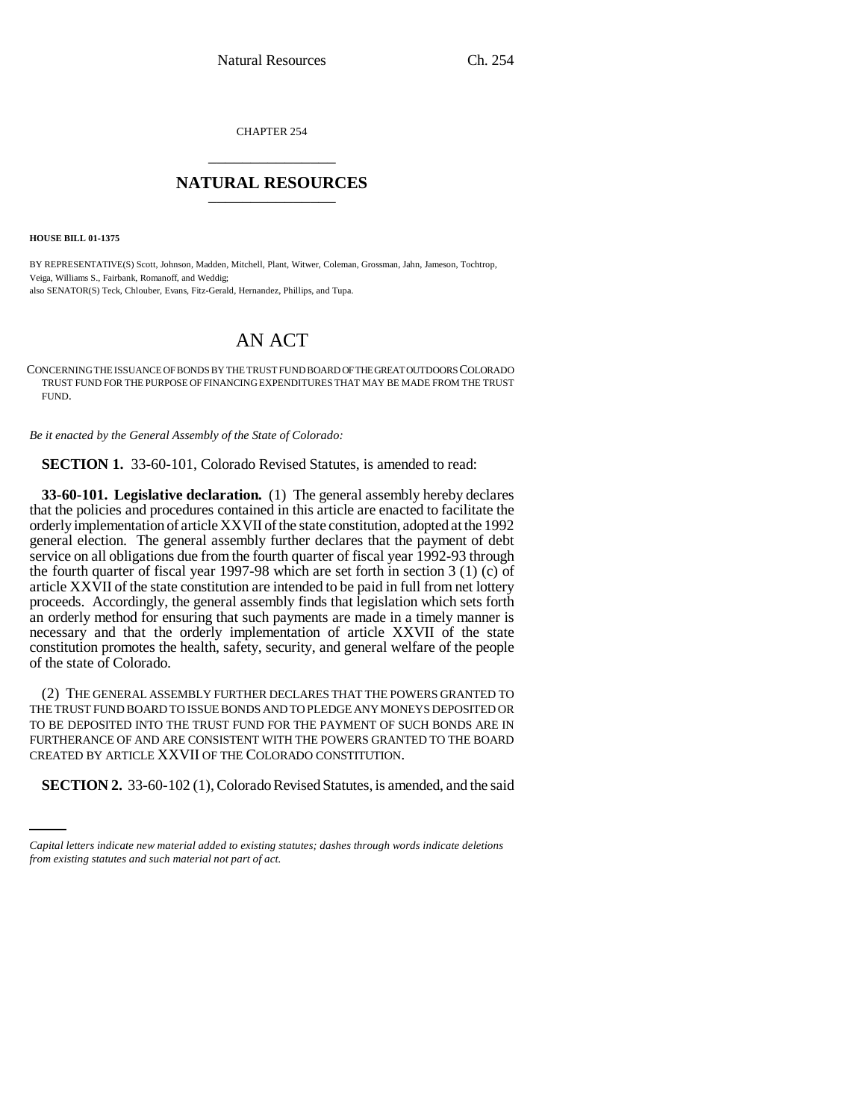CHAPTER 254 \_\_\_\_\_\_\_\_\_\_\_\_\_\_\_

## **NATURAL RESOURCES** \_\_\_\_\_\_\_\_\_\_\_\_\_\_\_

**HOUSE BILL 01-1375**

BY REPRESENTATIVE(S) Scott, Johnson, Madden, Mitchell, Plant, Witwer, Coleman, Grossman, Jahn, Jameson, Tochtrop, Veiga, Williams S., Fairbank, Romanoff, and Weddig; also SENATOR(S) Teck, Chlouber, Evans, Fitz-Gerald, Hernandez, Phillips, and Tupa.

## AN ACT

CONCERNING THE ISSUANCE OF BONDS BY THE TRUST FUND BOARD OF THE GREAT OUTDOORS COLORADO TRUST FUND FOR THE PURPOSE OF FINANCING EXPENDITURES THAT MAY BE MADE FROM THE TRUST FUND.

*Be it enacted by the General Assembly of the State of Colorado:*

**SECTION 1.** 33-60-101, Colorado Revised Statutes, is amended to read:

**33-60-101. Legislative declaration.** (1) The general assembly hereby declares that the policies and procedures contained in this article are enacted to facilitate the orderly implementation of article XXVII of the state constitution, adopted at the 1992 general election. The general assembly further declares that the payment of debt service on all obligations due from the fourth quarter of fiscal year 1992-93 through the fourth quarter of fiscal year 1997-98 which are set forth in section 3 (1) (c) of article XXVII of the state constitution are intended to be paid in full from net lottery proceeds. Accordingly, the general assembly finds that legislation which sets forth an orderly method for ensuring that such payments are made in a timely manner is necessary and that the orderly implementation of article XXVII of the state constitution promotes the health, safety, security, and general welfare of the people of the state of Colorado.

CREATED BY ARTICLE XXVII OF THE COLORADO CONSTITUTION. (2) THE GENERAL ASSEMBLY FURTHER DECLARES THAT THE POWERS GRANTED TO THE TRUST FUND BOARD TO ISSUE BONDS AND TO PLEDGE ANY MONEYS DEPOSITED OR TO BE DEPOSITED INTO THE TRUST FUND FOR THE PAYMENT OF SUCH BONDS ARE IN FURTHERANCE OF AND ARE CONSISTENT WITH THE POWERS GRANTED TO THE BOARD

**SECTION 2.** 33-60-102 (1), Colorado Revised Statutes, is amended, and the said

*Capital letters indicate new material added to existing statutes; dashes through words indicate deletions from existing statutes and such material not part of act.*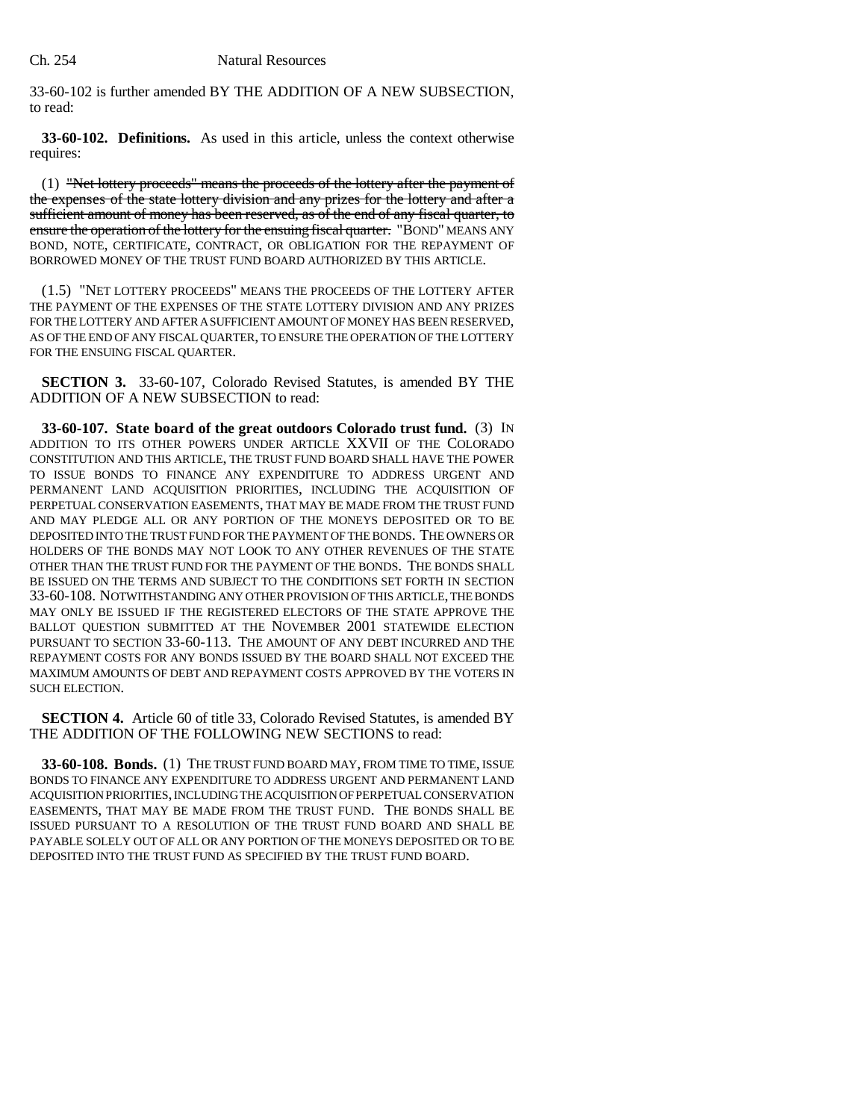33-60-102 is further amended BY THE ADDITION OF A NEW SUBSECTION, to read:

**33-60-102. Definitions.** As used in this article, unless the context otherwise requires:

(1) "Net lottery proceeds" means the proceeds of the lottery after the payment of the expenses of the state lottery division and any prizes for the lottery and after a sufficient amount of money has been reserved, as of the end of any fiscal quarter, to ensure the operation of the lottery for the ensuing fiscal quarter. "BOND" MEANS ANY BOND, NOTE, CERTIFICATE, CONTRACT, OR OBLIGATION FOR THE REPAYMENT OF BORROWED MONEY OF THE TRUST FUND BOARD AUTHORIZED BY THIS ARTICLE.

(1.5) "NET LOTTERY PROCEEDS" MEANS THE PROCEEDS OF THE LOTTERY AFTER THE PAYMENT OF THE EXPENSES OF THE STATE LOTTERY DIVISION AND ANY PRIZES FOR THE LOTTERY AND AFTER A SUFFICIENT AMOUNT OF MONEY HAS BEEN RESERVED, AS OF THE END OF ANY FISCAL QUARTER, TO ENSURE THE OPERATION OF THE LOTTERY FOR THE ENSUING FISCAL QUARTER.

**SECTION 3.** 33-60-107, Colorado Revised Statutes, is amended BY THE ADDITION OF A NEW SUBSECTION to read:

**33-60-107. State board of the great outdoors Colorado trust fund.** (3) IN ADDITION TO ITS OTHER POWERS UNDER ARTICLE XXVII OF THE COLORADO CONSTITUTION AND THIS ARTICLE, THE TRUST FUND BOARD SHALL HAVE THE POWER TO ISSUE BONDS TO FINANCE ANY EXPENDITURE TO ADDRESS URGENT AND PERMANENT LAND ACQUISITION PRIORITIES, INCLUDING THE ACQUISITION OF PERPETUAL CONSERVATION EASEMENTS, THAT MAY BE MADE FROM THE TRUST FUND AND MAY PLEDGE ALL OR ANY PORTION OF THE MONEYS DEPOSITED OR TO BE DEPOSITED INTO THE TRUST FUND FOR THE PAYMENT OF THE BONDS. THE OWNERS OR HOLDERS OF THE BONDS MAY NOT LOOK TO ANY OTHER REVENUES OF THE STATE OTHER THAN THE TRUST FUND FOR THE PAYMENT OF THE BONDS. THE BONDS SHALL BE ISSUED ON THE TERMS AND SUBJECT TO THE CONDITIONS SET FORTH IN SECTION 33-60-108. NOTWITHSTANDING ANY OTHER PROVISION OF THIS ARTICLE, THE BONDS MAY ONLY BE ISSUED IF THE REGISTERED ELECTORS OF THE STATE APPROVE THE BALLOT QUESTION SUBMITTED AT THE NOVEMBER 2001 STATEWIDE ELECTION PURSUANT TO SECTION 33-60-113. THE AMOUNT OF ANY DEBT INCURRED AND THE REPAYMENT COSTS FOR ANY BONDS ISSUED BY THE BOARD SHALL NOT EXCEED THE MAXIMUM AMOUNTS OF DEBT AND REPAYMENT COSTS APPROVED BY THE VOTERS IN SUCH ELECTION.

**SECTION 4.** Article 60 of title 33, Colorado Revised Statutes, is amended BY THE ADDITION OF THE FOLLOWING NEW SECTIONS to read:

**33-60-108. Bonds.** (1) THE TRUST FUND BOARD MAY, FROM TIME TO TIME, ISSUE BONDS TO FINANCE ANY EXPENDITURE TO ADDRESS URGENT AND PERMANENT LAND ACQUISITION PRIORITIES, INCLUDING THE ACQUISITION OF PERPETUAL CONSERVATION EASEMENTS, THAT MAY BE MADE FROM THE TRUST FUND. THE BONDS SHALL BE ISSUED PURSUANT TO A RESOLUTION OF THE TRUST FUND BOARD AND SHALL BE PAYABLE SOLELY OUT OF ALL OR ANY PORTION OF THE MONEYS DEPOSITED OR TO BE DEPOSITED INTO THE TRUST FUND AS SPECIFIED BY THE TRUST FUND BOARD.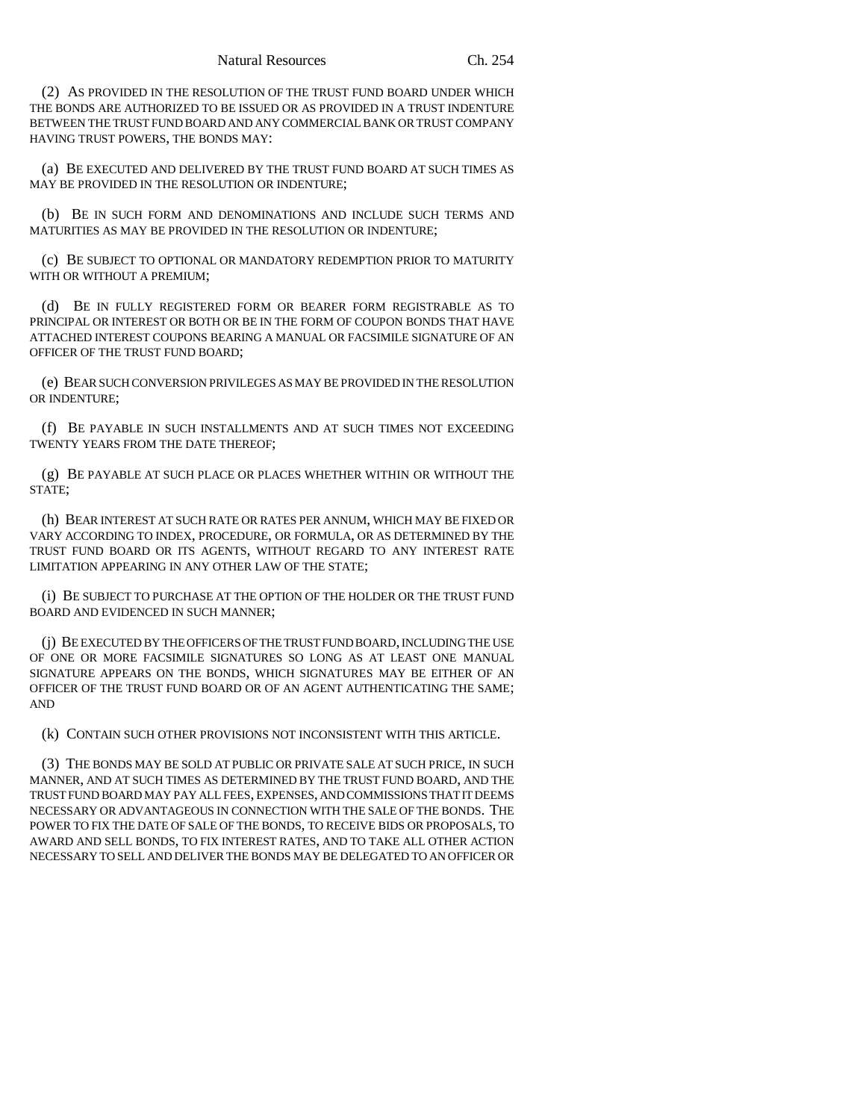(2) AS PROVIDED IN THE RESOLUTION OF THE TRUST FUND BOARD UNDER WHICH THE BONDS ARE AUTHORIZED TO BE ISSUED OR AS PROVIDED IN A TRUST INDENTURE BETWEEN THE TRUST FUND BOARD AND ANY COMMERCIAL BANK OR TRUST COMPANY HAVING TRUST POWERS, THE BONDS MAY:

(a) BE EXECUTED AND DELIVERED BY THE TRUST FUND BOARD AT SUCH TIMES AS MAY BE PROVIDED IN THE RESOLUTION OR INDENTURE;

(b) BE IN SUCH FORM AND DENOMINATIONS AND INCLUDE SUCH TERMS AND MATURITIES AS MAY BE PROVIDED IN THE RESOLUTION OR INDENTURE;

(c) BE SUBJECT TO OPTIONAL OR MANDATORY REDEMPTION PRIOR TO MATURITY WITH OR WITHOUT A PREMIUM:

(d) BE IN FULLY REGISTERED FORM OR BEARER FORM REGISTRABLE AS TO PRINCIPAL OR INTEREST OR BOTH OR BE IN THE FORM OF COUPON BONDS THAT HAVE ATTACHED INTEREST COUPONS BEARING A MANUAL OR FACSIMILE SIGNATURE OF AN OFFICER OF THE TRUST FUND BOARD;

(e) BEAR SUCH CONVERSION PRIVILEGES AS MAY BE PROVIDED IN THE RESOLUTION OR INDENTURE;

(f) BE PAYABLE IN SUCH INSTALLMENTS AND AT SUCH TIMES NOT EXCEEDING TWENTY YEARS FROM THE DATE THEREOF;

(g) BE PAYABLE AT SUCH PLACE OR PLACES WHETHER WITHIN OR WITHOUT THE STATE;

(h) BEAR INTEREST AT SUCH RATE OR RATES PER ANNUM, WHICH MAY BE FIXED OR VARY ACCORDING TO INDEX, PROCEDURE, OR FORMULA, OR AS DETERMINED BY THE TRUST FUND BOARD OR ITS AGENTS, WITHOUT REGARD TO ANY INTEREST RATE LIMITATION APPEARING IN ANY OTHER LAW OF THE STATE;

(i) BE SUBJECT TO PURCHASE AT THE OPTION OF THE HOLDER OR THE TRUST FUND BOARD AND EVIDENCED IN SUCH MANNER;

(j) BE EXECUTED BY THE OFFICERS OF THE TRUST FUND BOARD, INCLUDING THE USE OF ONE OR MORE FACSIMILE SIGNATURES SO LONG AS AT LEAST ONE MANUAL SIGNATURE APPEARS ON THE BONDS, WHICH SIGNATURES MAY BE EITHER OF AN OFFICER OF THE TRUST FUND BOARD OR OF AN AGENT AUTHENTICATING THE SAME; AND

(k) CONTAIN SUCH OTHER PROVISIONS NOT INCONSISTENT WITH THIS ARTICLE.

(3) THE BONDS MAY BE SOLD AT PUBLIC OR PRIVATE SALE AT SUCH PRICE, IN SUCH MANNER, AND AT SUCH TIMES AS DETERMINED BY THE TRUST FUND BOARD, AND THE TRUST FUND BOARD MAY PAY ALL FEES, EXPENSES, AND COMMISSIONS THAT IT DEEMS NECESSARY OR ADVANTAGEOUS IN CONNECTION WITH THE SALE OF THE BONDS. THE POWER TO FIX THE DATE OF SALE OF THE BONDS, TO RECEIVE BIDS OR PROPOSALS, TO AWARD AND SELL BONDS, TO FIX INTEREST RATES, AND TO TAKE ALL OTHER ACTION NECESSARY TO SELL AND DELIVER THE BONDS MAY BE DELEGATED TO AN OFFICER OR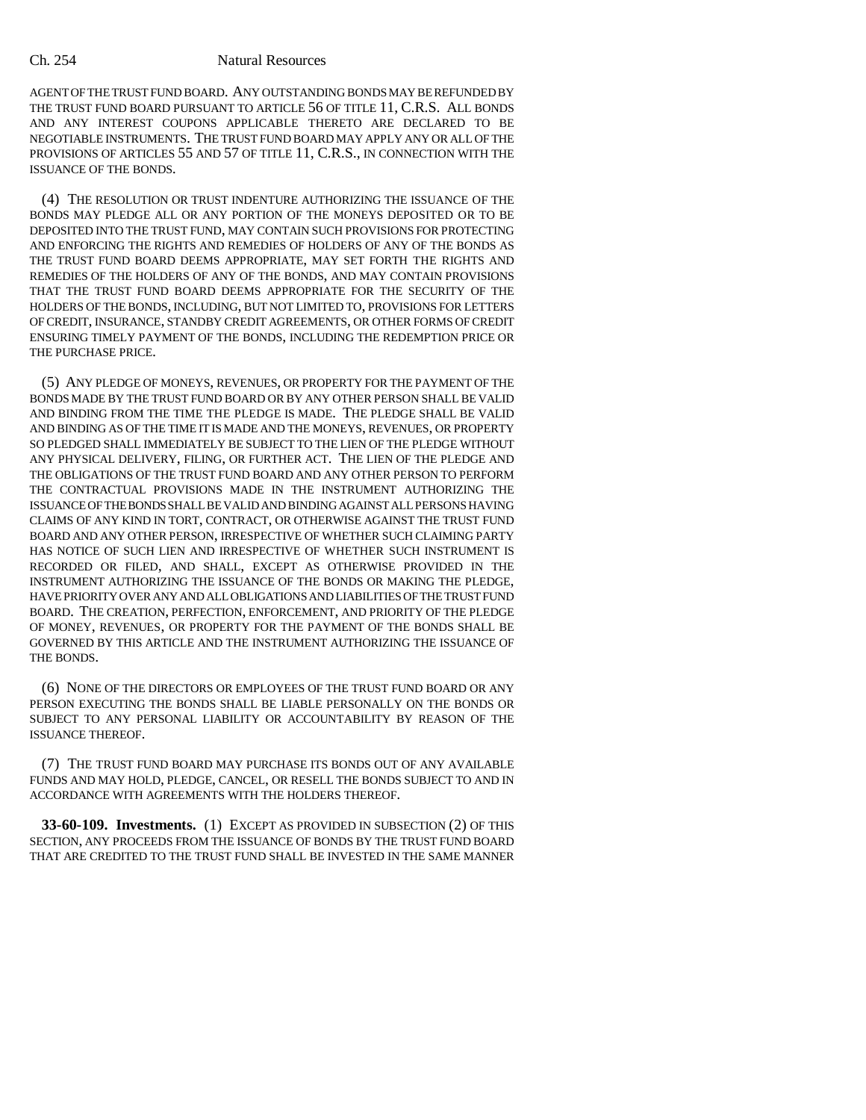## Ch. 254 Natural Resources

AGENT OF THE TRUST FUND BOARD. ANY OUTSTANDING BONDS MAY BE REFUNDED BY THE TRUST FUND BOARD PURSUANT TO ARTICLE 56 OF TITLE 11, C.R.S. ALL BONDS AND ANY INTEREST COUPONS APPLICABLE THERETO ARE DECLARED TO BE NEGOTIABLE INSTRUMENTS. THE TRUST FUND BOARD MAY APPLY ANY OR ALL OF THE PROVISIONS OF ARTICLES 55 AND 57 OF TITLE 11, C.R.S., IN CONNECTION WITH THE ISSUANCE OF THE BONDS.

(4) THE RESOLUTION OR TRUST INDENTURE AUTHORIZING THE ISSUANCE OF THE BONDS MAY PLEDGE ALL OR ANY PORTION OF THE MONEYS DEPOSITED OR TO BE DEPOSITED INTO THE TRUST FUND, MAY CONTAIN SUCH PROVISIONS FOR PROTECTING AND ENFORCING THE RIGHTS AND REMEDIES OF HOLDERS OF ANY OF THE BONDS AS THE TRUST FUND BOARD DEEMS APPROPRIATE, MAY SET FORTH THE RIGHTS AND REMEDIES OF THE HOLDERS OF ANY OF THE BONDS, AND MAY CONTAIN PROVISIONS THAT THE TRUST FUND BOARD DEEMS APPROPRIATE FOR THE SECURITY OF THE HOLDERS OF THE BONDS, INCLUDING, BUT NOT LIMITED TO, PROVISIONS FOR LETTERS OF CREDIT, INSURANCE, STANDBY CREDIT AGREEMENTS, OR OTHER FORMS OF CREDIT ENSURING TIMELY PAYMENT OF THE BONDS, INCLUDING THE REDEMPTION PRICE OR THE PURCHASE PRICE.

(5) ANY PLEDGE OF MONEYS, REVENUES, OR PROPERTY FOR THE PAYMENT OF THE BONDS MADE BY THE TRUST FUND BOARD OR BY ANY OTHER PERSON SHALL BE VALID AND BINDING FROM THE TIME THE PLEDGE IS MADE. THE PLEDGE SHALL BE VALID AND BINDING AS OF THE TIME IT IS MADE AND THE MONEYS, REVENUES, OR PROPERTY SO PLEDGED SHALL IMMEDIATELY BE SUBJECT TO THE LIEN OF THE PLEDGE WITHOUT ANY PHYSICAL DELIVERY, FILING, OR FURTHER ACT. THE LIEN OF THE PLEDGE AND THE OBLIGATIONS OF THE TRUST FUND BOARD AND ANY OTHER PERSON TO PERFORM THE CONTRACTUAL PROVISIONS MADE IN THE INSTRUMENT AUTHORIZING THE ISSUANCE OF THE BONDS SHALL BE VALID AND BINDING AGAINST ALL PERSONS HAVING CLAIMS OF ANY KIND IN TORT, CONTRACT, OR OTHERWISE AGAINST THE TRUST FUND BOARD AND ANY OTHER PERSON, IRRESPECTIVE OF WHETHER SUCH CLAIMING PARTY HAS NOTICE OF SUCH LIEN AND IRRESPECTIVE OF WHETHER SUCH INSTRUMENT IS RECORDED OR FILED, AND SHALL, EXCEPT AS OTHERWISE PROVIDED IN THE INSTRUMENT AUTHORIZING THE ISSUANCE OF THE BONDS OR MAKING THE PLEDGE, HAVE PRIORITY OVER ANY AND ALL OBLIGATIONS AND LIABILITIES OF THE TRUST FUND BOARD. THE CREATION, PERFECTION, ENFORCEMENT, AND PRIORITY OF THE PLEDGE OF MONEY, REVENUES, OR PROPERTY FOR THE PAYMENT OF THE BONDS SHALL BE GOVERNED BY THIS ARTICLE AND THE INSTRUMENT AUTHORIZING THE ISSUANCE OF THE BONDS.

(6) NONE OF THE DIRECTORS OR EMPLOYEES OF THE TRUST FUND BOARD OR ANY PERSON EXECUTING THE BONDS SHALL BE LIABLE PERSONALLY ON THE BONDS OR SUBJECT TO ANY PERSONAL LIABILITY OR ACCOUNTABILITY BY REASON OF THE ISSUANCE THEREOF.

(7) THE TRUST FUND BOARD MAY PURCHASE ITS BONDS OUT OF ANY AVAILABLE FUNDS AND MAY HOLD, PLEDGE, CANCEL, OR RESELL THE BONDS SUBJECT TO AND IN ACCORDANCE WITH AGREEMENTS WITH THE HOLDERS THEREOF.

**33-60-109. Investments.** (1) EXCEPT AS PROVIDED IN SUBSECTION (2) OF THIS SECTION, ANY PROCEEDS FROM THE ISSUANCE OF BONDS BY THE TRUST FUND BOARD THAT ARE CREDITED TO THE TRUST FUND SHALL BE INVESTED IN THE SAME MANNER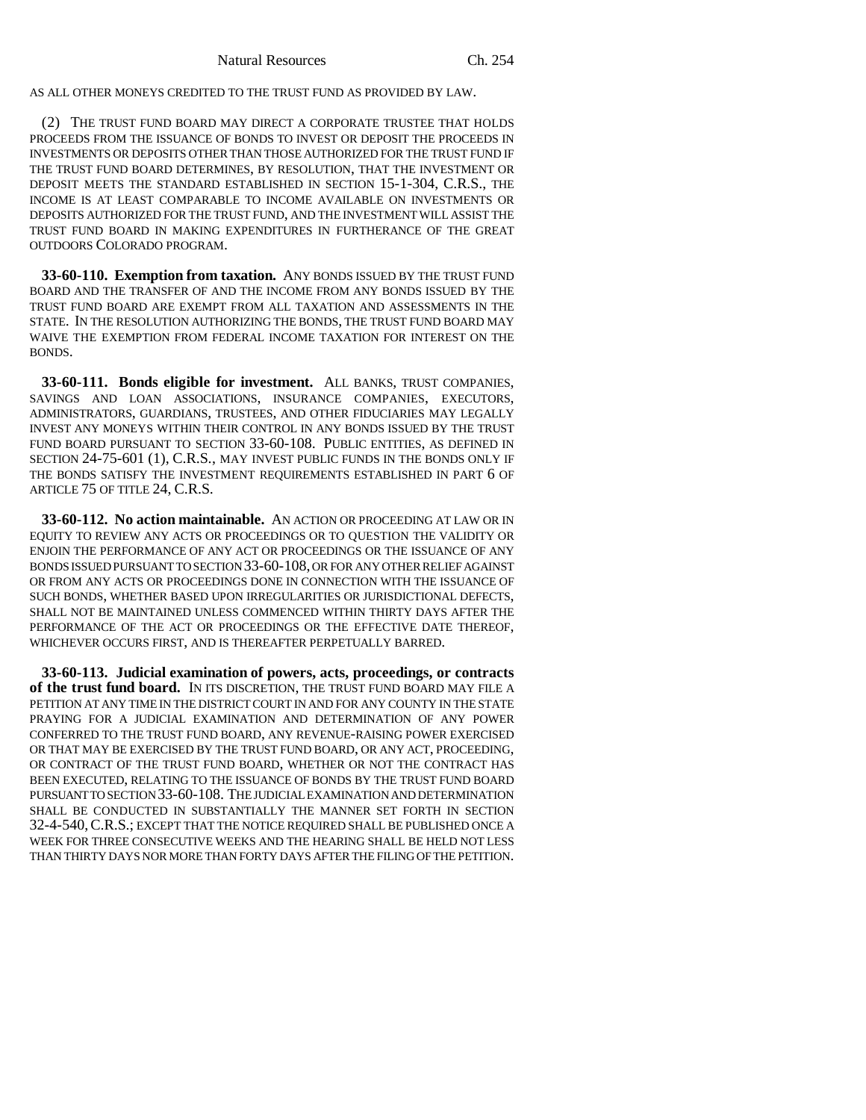AS ALL OTHER MONEYS CREDITED TO THE TRUST FUND AS PROVIDED BY LAW.

(2) THE TRUST FUND BOARD MAY DIRECT A CORPORATE TRUSTEE THAT HOLDS PROCEEDS FROM THE ISSUANCE OF BONDS TO INVEST OR DEPOSIT THE PROCEEDS IN INVESTMENTS OR DEPOSITS OTHER THAN THOSE AUTHORIZED FOR THE TRUST FUND IF THE TRUST FUND BOARD DETERMINES, BY RESOLUTION, THAT THE INVESTMENT OR DEPOSIT MEETS THE STANDARD ESTABLISHED IN SECTION 15-1-304, C.R.S., THE INCOME IS AT LEAST COMPARABLE TO INCOME AVAILABLE ON INVESTMENTS OR DEPOSITS AUTHORIZED FOR THE TRUST FUND, AND THE INVESTMENT WILL ASSIST THE TRUST FUND BOARD IN MAKING EXPENDITURES IN FURTHERANCE OF THE GREAT OUTDOORS COLORADO PROGRAM.

**33-60-110. Exemption from taxation.** ANY BONDS ISSUED BY THE TRUST FUND BOARD AND THE TRANSFER OF AND THE INCOME FROM ANY BONDS ISSUED BY THE TRUST FUND BOARD ARE EXEMPT FROM ALL TAXATION AND ASSESSMENTS IN THE STATE. IN THE RESOLUTION AUTHORIZING THE BONDS, THE TRUST FUND BOARD MAY WAIVE THE EXEMPTION FROM FEDERAL INCOME TAXATION FOR INTEREST ON THE BONDS.

**33-60-111. Bonds eligible for investment.** ALL BANKS, TRUST COMPANIES, SAVINGS AND LOAN ASSOCIATIONS, INSURANCE COMPANIES, EXECUTORS, ADMINISTRATORS, GUARDIANS, TRUSTEES, AND OTHER FIDUCIARIES MAY LEGALLY INVEST ANY MONEYS WITHIN THEIR CONTROL IN ANY BONDS ISSUED BY THE TRUST FUND BOARD PURSUANT TO SECTION 33-60-108. PUBLIC ENTITIES, AS DEFINED IN SECTION 24-75-601 (1), C.R.S., MAY INVEST PUBLIC FUNDS IN THE BONDS ONLY IF THE BONDS SATISFY THE INVESTMENT REQUIREMENTS ESTABLISHED IN PART 6 OF ARTICLE 75 OF TITLE 24, C.R.S.

**33-60-112. No action maintainable.** AN ACTION OR PROCEEDING AT LAW OR IN EQUITY TO REVIEW ANY ACTS OR PROCEEDINGS OR TO QUESTION THE VALIDITY OR ENJOIN THE PERFORMANCE OF ANY ACT OR PROCEEDINGS OR THE ISSUANCE OF ANY BONDS ISSUED PURSUANT TO SECTION 33-60-108, OR FOR ANY OTHER RELIEF AGAINST OR FROM ANY ACTS OR PROCEEDINGS DONE IN CONNECTION WITH THE ISSUANCE OF SUCH BONDS, WHETHER BASED UPON IRREGULARITIES OR JURISDICTIONAL DEFECTS, SHALL NOT BE MAINTAINED UNLESS COMMENCED WITHIN THIRTY DAYS AFTER THE PERFORMANCE OF THE ACT OR PROCEEDINGS OR THE EFFECTIVE DATE THEREOF, WHICHEVER OCCURS FIRST, AND IS THEREAFTER PERPETUALLY BARRED.

**33-60-113. Judicial examination of powers, acts, proceedings, or contracts of the trust fund board.** IN ITS DISCRETION, THE TRUST FUND BOARD MAY FILE A PETITION AT ANY TIME IN THE DISTRICT COURT IN AND FOR ANY COUNTY IN THE STATE PRAYING FOR A JUDICIAL EXAMINATION AND DETERMINATION OF ANY POWER CONFERRED TO THE TRUST FUND BOARD, ANY REVENUE-RAISING POWER EXERCISED OR THAT MAY BE EXERCISED BY THE TRUST FUND BOARD, OR ANY ACT, PROCEEDING, OR CONTRACT OF THE TRUST FUND BOARD, WHETHER OR NOT THE CONTRACT HAS BEEN EXECUTED, RELATING TO THE ISSUANCE OF BONDS BY THE TRUST FUND BOARD PURSUANT TO SECTION 33-60-108. THE JUDICIAL EXAMINATION AND DETERMINATION SHALL BE CONDUCTED IN SUBSTANTIALLY THE MANNER SET FORTH IN SECTION 32-4-540,C.R.S.; EXCEPT THAT THE NOTICE REQUIRED SHALL BE PUBLISHED ONCE A WEEK FOR THREE CONSECUTIVE WEEKS AND THE HEARING SHALL BE HELD NOT LESS THAN THIRTY DAYS NOR MORE THAN FORTY DAYS AFTER THE FILING OF THE PETITION.